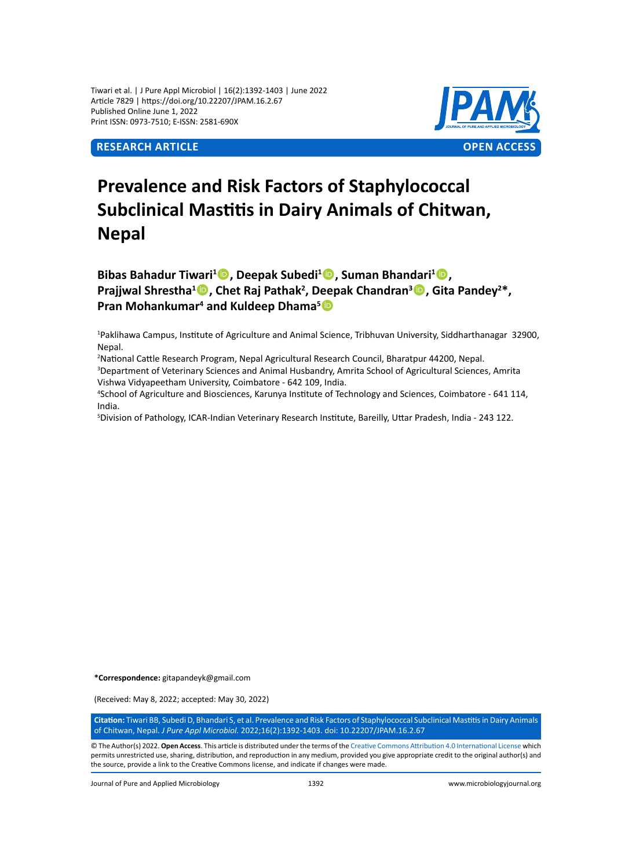Tiwari et al. | J Pure Appl Microbiol | 16(2):1392-1403 | June 2022 Article 7829 | https://doi.org/10.22207/JPAM.16.2.67 Published Online June 1, 2022 Print ISSN: 0973-7510; E-ISSN: 2581-690X



# **Prevalence and Risk Factors of Staphylococcal Subclinical Mastitis in Dairy Animals of Chitwan, Nepal**

**Bibas Bahadur Tiwari<sup>1</sup> , Deepak Subedi<sup>1</sup> , Suman Bhandari<sup>1</sup> , Prajjwal Shrestha<sup>1</sup><sup>®</sup>, Chet Raj Pathak<sup>2</sup>, Deepak Chandran<sup>3</sup><sup>®</sup>, Gita Pandey<sup>2\*</sup>, Pran Mohankumar<sup>4</sup> and Kuldeep Dhama<sup>5</sup><sup>1</sup>** 

1 Paklihawa Campus, Institute of Agriculture and Animal Science, Tribhuvan University, Siddharthanagar 32900, Nepal.

2 National Cattle Research Program, Nepal Agricultural Research Council, Bharatpur 44200, Nepal.

3 Department of Veterinary Sciences and Animal Husbandry, Amrita School of Agricultural Sciences, Amrita Vishwa Vidyapeetham University, Coimbatore - 642 109, India.

4 School of Agriculture and Biosciences, Karunya Institute of Technology and Sciences, Coimbatore - 641 114, India.

5 Division of Pathology, ICAR-Indian Veterinary Research Institute, Bareilly, Uttar Pradesh, India - 243 122.

**\*Correspondence:** gitapandeyk@gmail.com

(Received: May 8, 2022; accepted: May 30, 2022)

**Citation:** Tiwari BB, Subedi D, Bhandari S, et al. Prevalence and Risk Factors of Staphylococcal Subclinical Mastitis in Dairy Animals of Chitwan, Nepal. *J Pure Appl Microbiol.* 2022;16(2):1392-1403. doi: 10.22207/JPAM.16.2.67

© The Author(s) 2022. **Open Access**. This article is distributed under the terms of the [Creative Commons Attribution 4.0 International License](https://creativecommons.org/licenses/by/4.0/) which permits unrestricted use, sharing, distribution, and reproduction in any medium, provided you give appropriate credit to the original author(s) and the source, provide a link to the Creative Commons license, and indicate if changes were made.

Journal of Pure and Applied Microbiology 1392 www.microbiologyjournal.org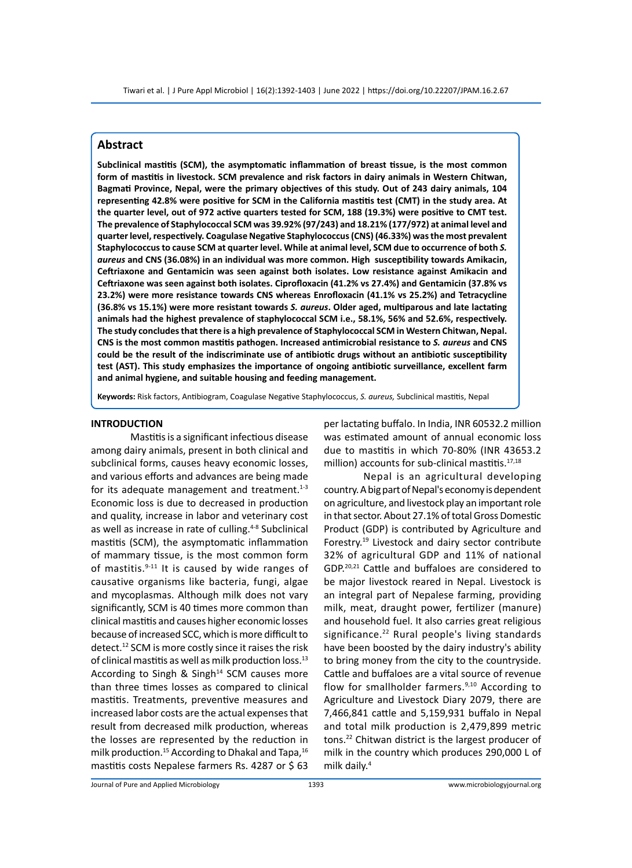# **Abstract**

**Subclinical mastitis (SCM), the asymptomatic inflammation of breast tissue, is the most common form of mastitis in livestock. SCM prevalence and risk factors in dairy animals in Western Chitwan, Bagmati Province, Nepal, were the primary objectives of this study. Out of 243 dairy animals, 104 representing 42.8% were positive for SCM in the California mastitis test (CMT) in the study area. At the quarter level, out of 972 active quarters tested for SCM, 188 (19.3%) were positive to CMT test. The prevalence of Staphylococcal SCM was 39.92% (97/243) and 18.21% (177/972) at animal level and quarter level, respectively. Coagulase Negative Staphylococcus (CNS) (46.33%) was the most prevalent Staphylococcus to cause SCM at quarter level. While at animal level, SCM due to occurrence of both** *S. aureus* **and CNS (36.08%) in an individual was more common. High susceptibility towards Amikacin, Ceftriaxone and Gentamicin was seen against both isolates. Low resistance against Amikacin and Ceftriaxone was seen against both isolates. Ciprofloxacin (41.2% vs 27.4%) and Gentamicin (37.8% vs 23.2%) were more resistance towards CNS whereas Enrofloxacin (41.1% vs 25.2%) and Tetracycline (36.8% vs 15.1%) were more resistant towards** *S. aureus***. Older aged, multiparous and late lactating animals had the highest prevalence of staphylococcal SCM i.e., 58.1%, 56% and 52.6%, respectively. The study concludes that there is a high prevalence of Staphylococcal SCM in Western Chitwan, Nepal. CNS is the most common mastitis pathogen. Increased antimicrobial resistance to** *S. aureus* **and CNS could be the result of the indiscriminate use of antibiotic drugs without an antibiotic susceptibility test (AST). This study emphasizes the importance of ongoing antibiotic surveillance, excellent farm and animal hygiene, and suitable housing and feeding management.**

**Keywords:** Risk factors, Antibiogram, Coagulase Negative Staphylococcus, *S. aureus,* Subclinical mastitis, Nepal

## **INTRODUCTION**

Mastitis is a significant infectious disease among dairy animals, present in both clinical and subclinical forms, causes heavy economic losses, and various efforts and advances are being made for its adequate management and treatment. $1-3$ Economic loss is due to decreased in production and quality, increase in labor and veterinary cost as well as increase in rate of culling.<sup>4-8</sup> Subclinical mastitis (SCM), the asymptomatic inflammation of mammary tissue, is the most common form of mastitis. $9-11$  It is caused by wide ranges of causative organisms like bacteria, fungi, algae and mycoplasmas. Although milk does not vary significantly, SCM is 40 times more common than clinical mastitis and causes higher economic losses because of increased SCC, which is more difficult to detect.12 SCM is more costly since it raises the risk of clinical mastitis as well as milk production loss.<sup>13</sup> According to Singh & Singh $14$  SCM causes more than three times losses as compared to clinical mastitis. Treatments, preventive measures and increased labor costs are the actual expenses that result from decreased milk production, whereas the losses are represented by the reduction in milk production.<sup>15</sup> According to Dhakal and Tapa,<sup>16</sup> mastitis costs Nepalese farmers Rs. 4287 or \$ 63 per lactating buffalo. In India, INR 60532.2 million was estimated amount of annual economic loss due to mastitis in which 70-80% (INR 43653.2 million) accounts for sub-clinical mastitis.<sup>17,18</sup>

Nepal is an agricultural developing country. A big part of Nepal's economy is dependent on agriculture, and livestock play an important role in that sector. About 27.1% of total Gross Domestic Product (GDP) is contributed by Agriculture and Forestry.19 Livestock and dairy sector contribute 32% of agricultural GDP and 11% of national GDP.20,21 Cattle and buffaloes are considered to be major livestock reared in Nepal. Livestock is an integral part of Nepalese farming, providing milk, meat, draught power, fertilizer (manure) and household fuel. It also carries great religious significance. $22$  Rural people's living standards have been boosted by the dairy industry's ability to bring money from the city to the countryside. Cattle and buffaloes are a vital source of revenue flow for smallholder farmers.<sup>9,10</sup> According to Agriculture and Livestock Diary 2079, there are 7,466,841 cattle and 5,159,931 buffalo in Nepal and total milk production is 2,479,899 metric tons.22 Chitwan district is the largest producer of milk in the country which produces 290,000 L of milk daily.4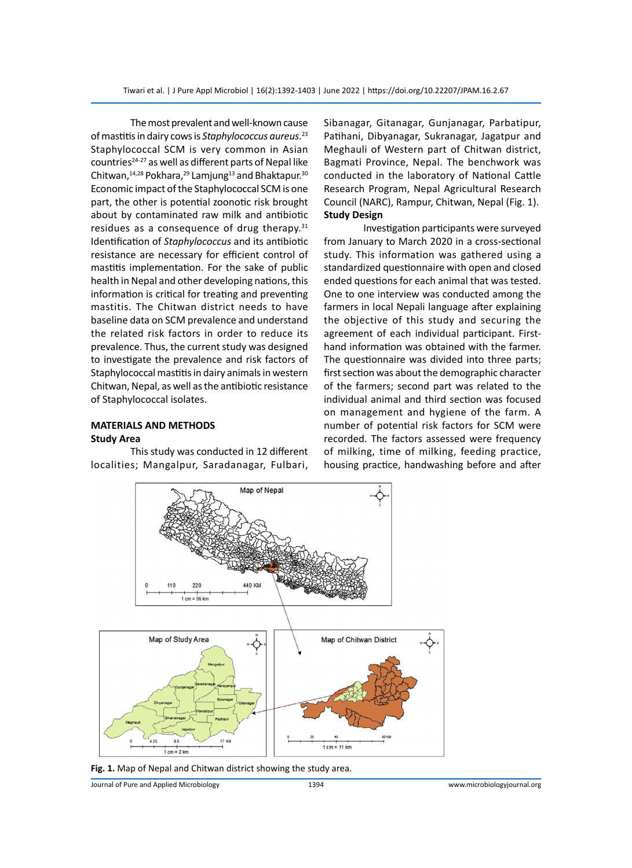The most prevalent and well-known cause of mastitis in dairy cows is *Staphylococcus aureus*. 23 Staphylococcal SCM is very common in Asian countries<sup>24-27</sup> as well as different parts of Nepal like Chitwan, $14,28$  Pokhara, $29$  Lamjung<sup>13</sup> and Bhaktapur.<sup>30</sup> Economic impact of the Staphylococcal SCM is one part, the other is potential zoonotic risk brought about by contaminated raw milk and antibiotic residues as a consequence of drug therapy. $31$ Identification of *Staphylococcus* and its antibiotic resistance are necessary for efficient control of mastitis implementation. For the sake of public health in Nepal and other developing nations, this information is critical for treating and preventing mastitis. The Chitwan district needs to have baseline data on SCM prevalence and understand the related risk factors in order to reduce its prevalence. Thus, the current study was designed to investigate the prevalence and risk factors of Staphylococcal mastitis in dairy animals in western Chitwan, Nepal, as well as the antibiotic resistance of Staphylococcal isolates.

## **MATERIALS AND METHODS Study Area**

This study was conducted in 12 different localities; Mangalpur, Saradanagar, Fulbari, Sibanagar, Gitanagar, Gunjanagar, Parbatipur, Patihani, Dibyanagar, Sukranagar, Jagatpur and Meghauli of Western part of Chitwan district, Bagmati Province, Nepal. The benchwork was conducted in the laboratory of National Cattle Research Program, Nepal Agricultural Research Council (NARC), Rampur, Chitwan, Nepal (Fig. 1). **Study Design**

Investigation participants were surveyed from January to March 2020 in a cross-sectional study. This information was gathered using a standardized questionnaire with open and closed ended questions for each animal that was tested. One to one interview was conducted among the farmers in local Nepali language after explaining the objective of this study and securing the agreement of each individual participant. Firsthand information was obtained with the farmer. The questionnaire was divided into three parts; first section was about the demographic character of the farmers; second part was related to the individual animal and third section was focused on management and hygiene of the farm. A number of potential risk factors for SCM were recorded. The factors assessed were frequency of milking, time of milking, feeding practice, housing practice, handwashing before and after



**Fig. 1.** Map of Nepal and Chitwan district showing the study area.

Journal of Pure and Applied Microbiology 1394 www.microbiologyjournal.org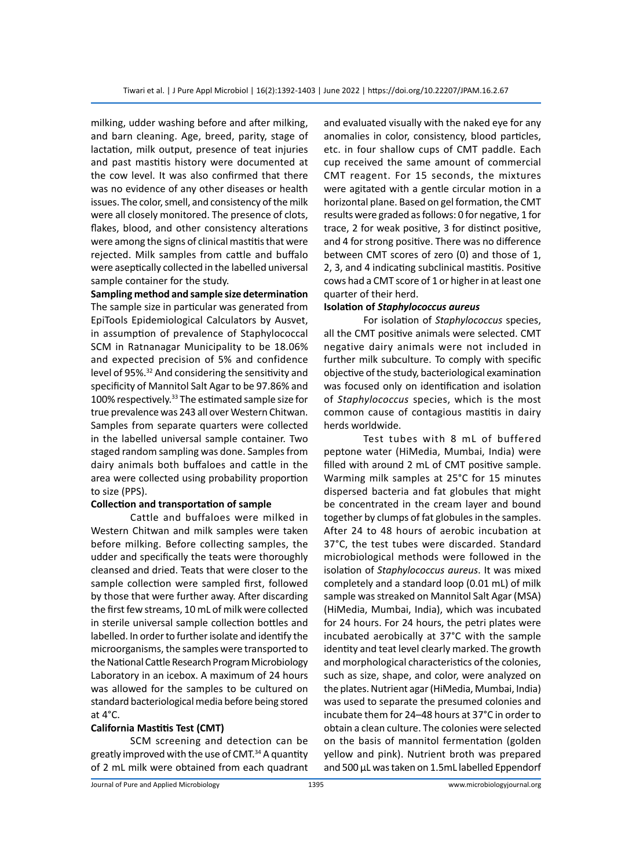milking, udder washing before and after milking, and barn cleaning. Age, breed, parity, stage of lactation, milk output, presence of teat injuries and past mastitis history were documented at the cow level. It was also confirmed that there was no evidence of any other diseases or health issues. The color, smell, and consistency of the milk were all closely monitored. The presence of clots, flakes, blood, and other consistency alterations were among the signs of clinical mastitis that were rejected. Milk samples from cattle and buffalo were aseptically collected in the labelled universal sample container for the study.

**Sampling method and sample size determination** The sample size in particular was generated from EpiTools Epidemiological Calculators by Ausvet, in assumption of prevalence of Staphylococcal SCM in Ratnanagar Municipality to be 18.06% and expected precision of 5% and confidence level of 95%.<sup>32</sup> And considering the sensitivity and specificity of Mannitol Salt Agar to be 97.86% and 100% respectively.<sup>33</sup> The estimated sample size for true prevalence was 243 all over Western Chitwan. Samples from separate quarters were collected in the labelled universal sample container. Two staged random sampling was done. Samples from dairy animals both buffaloes and cattle in the area were collected using probability proportion to size (PPS).

## **Collection and transportation of sample**

Cattle and buffaloes were milked in Western Chitwan and milk samples were taken before milking. Before collecting samples, the udder and specifically the teats were thoroughly cleansed and dried. Teats that were closer to the sample collection were sampled first, followed by those that were further away. After discarding the first few streams, 10 mL of milk were collected in sterile universal sample collection bottles and labelled. In order to further isolate and identify the microorganisms, the samples were transported to the National Cattle Research Program Microbiology Laboratory in an icebox. A maximum of 24 hours was allowed for the samples to be cultured on standard bacteriological media before being stored at 4°C.

#### **California Mastitis Test (CMT)**

SCM screening and detection can be greatly improved with the use of CMT.<sup>34</sup> A quantity of 2 mL milk were obtained from each quadrant and evaluated visually with the naked eye for any anomalies in color, consistency, blood particles, etc. in four shallow cups of CMT paddle. Each cup received the same amount of commercial CMT reagent. For 15 seconds, the mixtures were agitated with a gentle circular motion in a horizontal plane. Based on gel formation, the CMT results were graded as follows: 0 for negative, 1 for trace, 2 for weak positive, 3 for distinct positive, and 4 for strong positive. There was no difference between CMT scores of zero (0) and those of 1, 2, 3, and 4 indicating subclinical mastitis. Positive cows had a CMT score of 1 or higher in at least one quarter of their herd.

#### **Isolation of** *Staphylococcus aureus*

For isolation of *Staphylococcus* species, all the CMT positive animals were selected. CMT negative dairy animals were not included in further milk subculture. To comply with specific objective of the study, bacteriological examination was focused only on identification and isolation of *Staphylococcus* species, which is the most common cause of contagious mastitis in dairy herds worldwide.

Test tubes with 8 mL of buffered peptone water (HiMedia, Mumbai, India) were filled with around 2 mL of CMT positive sample. Warming milk samples at 25°C for 15 minutes dispersed bacteria and fat globules that might be concentrated in the cream layer and bound together by clumps of fat globules in the samples. After 24 to 48 hours of aerobic incubation at 37°C, the test tubes were discarded. Standard microbiological methods were followed in the isolation of *Staphylococcus aureus*. It was mixed completely and a standard loop (0.01 mL) of milk sample was streaked on Mannitol Salt Agar (MSA) (HiMedia, Mumbai, India), which was incubated for 24 hours. For 24 hours, the petri plates were incubated aerobically at 37°C with the sample identity and teat level clearly marked. The growth and morphological characteristics of the colonies, such as size, shape, and color, were analyzed on the plates. Nutrient agar (HiMedia, Mumbai, India) was used to separate the presumed colonies and incubate them for 24–48 hours at 37°C in order to obtain a clean culture. The colonies were selected on the basis of mannitol fermentation (golden yellow and pink). Nutrient broth was prepared and 500 μL was taken on 1.5mL labelled Eppendorf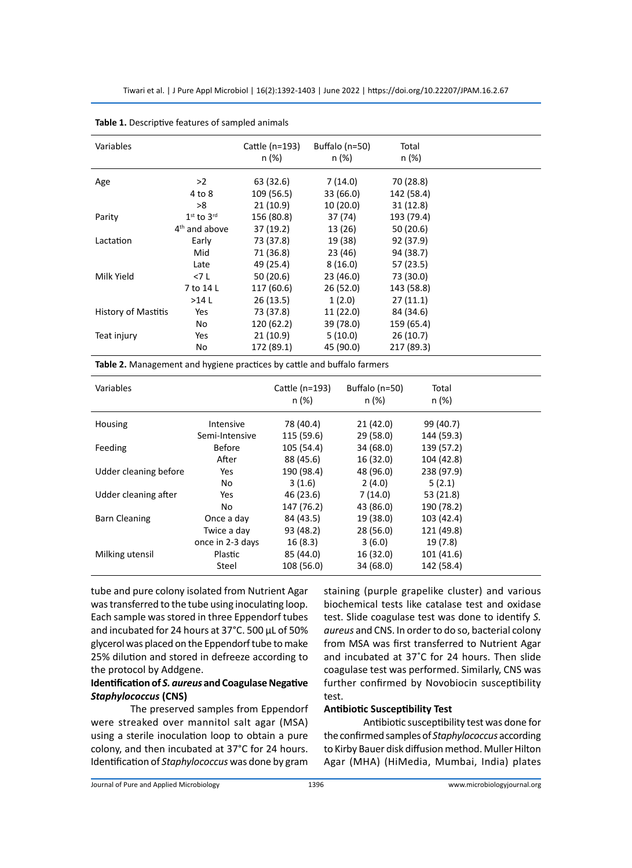| Variables           |                 | Cattle (n=193)<br>n(%) | Buffalo (n=50)<br>n (%) | Total<br>n (%) |  |
|---------------------|-----------------|------------------------|-------------------------|----------------|--|
|                     |                 |                        |                         |                |  |
| Age                 | >2              | 63 (32.6)              | 7(14.0)                 | 70 (28.8)      |  |
|                     | 4 to 8          | 109 (56.5)             | 33 (66.0)               | 142 (58.4)     |  |
|                     | >8              | 21(10.9)               | 10(20.0)                | 31(12.8)       |  |
| Parity              | $1st$ to $3rd$  | 156 (80.8)             | 37 (74)                 | 193 (79.4)     |  |
|                     | $4th$ and above | 37 (19.2)              | 13 (26)                 | 50 (20.6)      |  |
| Lactation           | Early           | 73 (37.8)              | 19 (38)                 | 92 (37.9)      |  |
|                     | Mid             | 71 (36.8)              | 23(46)                  | 94 (38.7)      |  |
|                     | Late            | 49 (25.4)              | 8(16.0)                 | 57(23.5)       |  |
| Milk Yield          | <7 L            | 50 (20.6)              | 23 (46.0)               | 73 (30.0)      |  |
|                     | 7 to 14 L       | 117 (60.6)             | 26(52.0)                | 143 (58.8)     |  |
|                     | >14L            | 26(13.5)               | 1(2.0)                  | 27(11.1)       |  |
| History of Mastitis | Yes             | 73 (37.8)              | 11 (22.0)               | 84 (34.6)      |  |
|                     | No              | 120 (62.2)             | 39 (78.0)               | 159 (65.4)     |  |
| Teat injury         | Yes             | 21(10.9)               | 5(10.0)                 | 26(10.7)       |  |
|                     | No              | 172 (89.1)             | 45 (90.0)               | 217 (89.3)     |  |
|                     |                 |                        |                         |                |  |

**Table 1.** Descriptive features of sampled animals

**Table 2.** Management and hygiene practices by cattle and buffalo farmers

| Variables             |                  | Cattle (n=193)<br>n (%) | Buffalo (n=50)<br>n (%) | Total<br>n (%) |  |
|-----------------------|------------------|-------------------------|-------------------------|----------------|--|
| Housing               | Intensive        | 78 (40.4)               | 21(42.0)                | 99 (40.7)      |  |
|                       | Semi-Intensive   | 115 (59.6)              | 29(58.0)                | 144 (59.3)     |  |
| Feeding               | <b>Before</b>    | 105 (54.4)              | 34 (68.0)               | 139 (57.2)     |  |
|                       | After            | 88 (45.6)               | 16 (32.0)               | 104 (42.8)     |  |
| Udder cleaning before | Yes              | 190 (98.4)              | 48 (96.0)               | 238 (97.9)     |  |
|                       | No               | 3(1.6)                  | 2(4.0)                  | 5(2.1)         |  |
| Udder cleaning after  | Yes              | 46 (23.6)               | 7(14.0)                 | 53 (21.8)      |  |
|                       | No               | 147 (76.2)              | 43 (86.0)               | 190 (78.2)     |  |
| <b>Barn Cleaning</b>  | Once a day       | 84 (43.5)               | 19 (38.0)               | 103 (42.4)     |  |
|                       | Twice a day      | 93 (48.2)               | 28 (56.0)               | 121 (49.8)     |  |
|                       | once in 2-3 days | 16(8.3)                 | 3(6.0)                  | 19 (7.8)       |  |
| Milking utensil       | Plastic          | 85 (44.0)               | 16 (32.0)               | 101 (41.6)     |  |
|                       | Steel            | 108 (56.0)              | 34 (68.0)               | 142 (58.4)     |  |

tube and pure colony isolated from Nutrient Agar was transferred to the tube using inoculating loop. Each sample was stored in three Eppendorf tubes and incubated for 24 hours at 37°C. 500 μL of 50% glycerol was placed on the Eppendorf tube to make 25% dilution and stored in defreeze according to the protocol by Addgene.

# **Identification of** *S. aureus* **and Coagulase Negative**  *Staphylococcus* **(CNS)**

The preserved samples from Eppendorf were streaked over mannitol salt agar (MSA) using a sterile inoculation loop to obtain a pure colony, and then incubated at 37°C for 24 hours. Identification of *Staphylococcus* was done by gram staining (purple grapelike cluster) and various biochemical tests like catalase test and oxidase test. Slide coagulase test was done to identify *S. aureus* and CNS. In order to do so, bacterial colony from MSA was first transferred to Nutrient Agar and incubated at 37˚C for 24 hours. Then slide coagulase test was performed. Similarly, CNS was further confirmed by Novobiocin susceptibility test.

#### **Antibiotic Susceptibility Test**

Antibiotic susceptibility test was done for the confirmed samples of *Staphylococcus* according to Kirby Bauer disk diffusion method. Muller Hilton Agar (MHA) (HiMedia, Mumbai, India) plates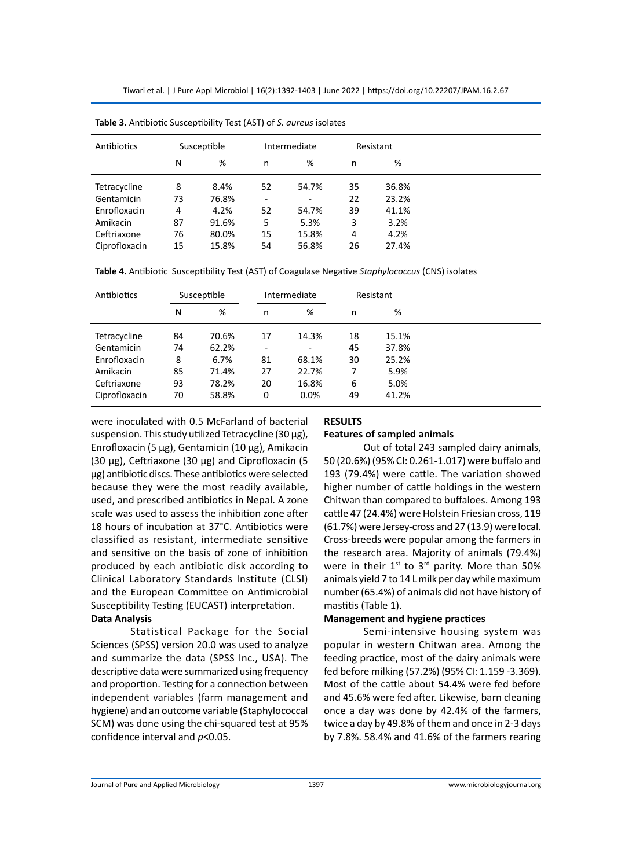| Antibiotics   |    | Susceptible | Intermediate |                          | Resistant |       |
|---------------|----|-------------|--------------|--------------------------|-----------|-------|
|               | N  | %           | n            | %                        | n         | %     |
| Tetracycline  | 8  | 8.4%        | 52           | 54.7%                    | 35        | 36.8% |
| Gentamicin    | 73 | 76.8%       |              | $\overline{\phantom{a}}$ | 22        | 23.2% |
| Enrofloxacin  | 4  | 4.2%        | 52           | 54.7%                    | 39        | 41.1% |
| Amikacin      | 87 | 91.6%       | 5            | 5.3%                     | 3         | 3.2%  |
| Ceftriaxone   | 76 | 80.0%       | 15           | 15.8%                    | 4         | 4.2%  |
| Ciprofloxacin | 15 | 15.8%       | 54           | 56.8%                    | 26        | 27.4% |

**Table 3.** Antibiotic Susceptibility Test (AST) of *S. aureus* isolates

|  |  | Table 4. Antibiotic Susceptibility Test (AST) of Coagulase Negative Staphylococcus (CNS) isolates |
|--|--|---------------------------------------------------------------------------------------------------|
|--|--|---------------------------------------------------------------------------------------------------|

| Antibiotics   |    | Susceptible | Intermediate |       | Resistant |       |
|---------------|----|-------------|--------------|-------|-----------|-------|
|               | N  | %           | n            | %     | n         | %     |
| Tetracycline  | 84 | 70.6%       | 17           | 14.3% | 18        | 15.1% |
| Gentamicin    | 74 | 62.2%       | ۰            | ٠     | 45        | 37.8% |
| Enrofloxacin  | 8  | 6.7%        | 81           | 68.1% | 30        | 25.2% |
| Amikacin      | 85 | 71.4%       | 27           | 22.7% | 7         | 5.9%  |
| Ceftriaxone   | 93 | 78.2%       | 20           | 16.8% | 6         | 5.0%  |
| Ciprofloxacin | 70 | 58.8%       | 0            | 0.0%  | 49        | 41.2% |

were inoculated with 0.5 McFarland of bacterial suspension. This study utilized Tetracycline (30 μg), Enrofloxacin (5 μg), Gentamicin (10 μg), Amikacin (30 μg), Ceftriaxone (30 μg) and Ciprofloxacin (5 μg) antibiotic discs. These antibiotics were selected because they were the most readily available, used, and prescribed antibiotics in Nepal. A zone scale was used to assess the inhibition zone after 18 hours of incubation at 37°C. Antibiotics were classified as resistant, intermediate sensitive and sensitive on the basis of zone of inhibition produced by each antibiotic disk according to Clinical Laboratory Standards Institute (CLSI) and the European Committee on Antimicrobial Susceptibility Testing (EUCAST) interpretation.

## **Data Analysis**

Statistical Package for the Social Sciences (SPSS) version 20.0 was used to analyze and summarize the data (SPSS Inc., USA). The descriptive data were summarized using frequency and proportion. Testing for a connection between independent variables (farm management and hygiene) and an outcome variable (Staphylococcal SCM) was done using the chi-squared test at 95% confidence interval and *p*<0.05.

## **RESULTS**

#### **Features of sampled animals**

Out of total 243 sampled dairy animals, 50 (20.6%) (95% CI: 0.261-1.017) were buffalo and 193 (79.4%) were cattle. The variation showed higher number of cattle holdings in the western Chitwan than compared to buffaloes. Among 193 cattle 47 (24.4%) were Holstein Friesian cross, 119 (61.7%) were Jersey-cross and 27 (13.9) were local. Cross-breeds were popular among the farmers in the research area. Majority of animals (79.4%) were in their  $1^{st}$  to  $3^{rd}$  parity. More than 50% animals yield 7 to 14 L milk per day while maximum number (65.4%) of animals did not have history of mastitis (Table 1).

#### **Management and hygiene practices**

Semi-intensive housing system was popular in western Chitwan area. Among the feeding practice, most of the dairy animals were fed before milking (57.2%) (95% CI: 1.159 -3.369). Most of the cattle about 54.4% were fed before and 45.6% were fed after. Likewise, barn cleaning once a day was done by 42.4% of the farmers, twice a day by 49.8% of them and once in 2-3 days by 7.8%. 58.4% and 41.6% of the farmers rearing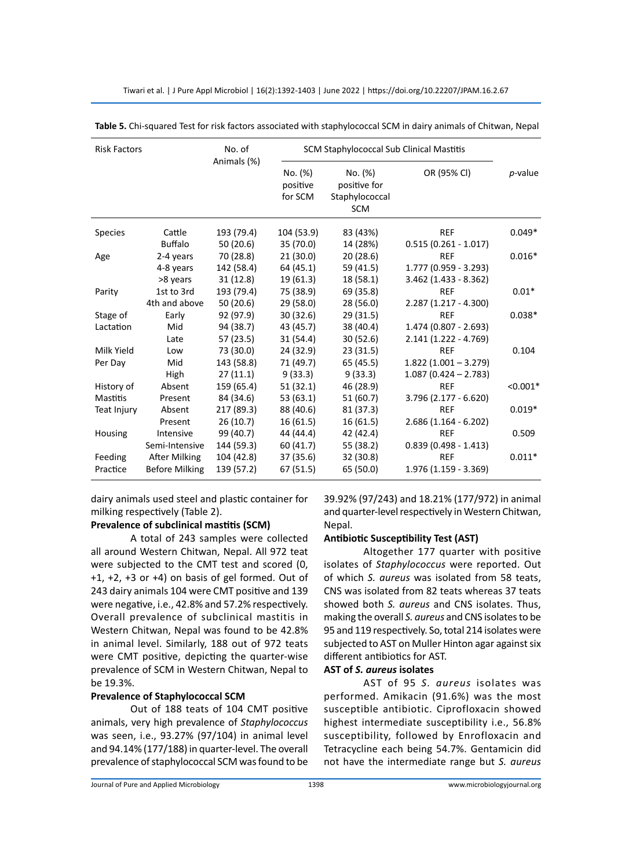| <b>Risk Factors</b> |                       | No. of<br>Animals (%) | SCM Staphylococcal Sub Clinical Mastitis |                                                         |                         |            |
|---------------------|-----------------------|-----------------------|------------------------------------------|---------------------------------------------------------|-------------------------|------------|
|                     |                       |                       | No. (%)<br>positive<br>for SCM           | No. (%)<br>positive for<br>Staphylococcal<br><b>SCM</b> | OR (95% CI)             | $p$ -value |
| <b>Species</b>      | Cattle                | 193 (79.4)            | 104 (53.9)                               | 83 (43%)                                                | <b>REF</b>              | $0.049*$   |
|                     | <b>Buffalo</b>        | 50(20.6)              | 35 (70.0)                                | 14 (28%)                                                | $0.515(0.261 - 1.017)$  |            |
| Age                 | 2-4 years             | 70 (28.8)             | 21(30.0)                                 | 20(28.6)                                                | <b>REF</b>              | $0.016*$   |
|                     | 4-8 years             | 142 (58.4)            | 64 (45.1)                                | 59 (41.5)                                               | 1.777 (0.959 - 3.293)   |            |
|                     | >8 years              | 31(12.8)              | 19 (61.3)                                | 18 (58.1)                                               | $3.462$ (1.433 - 8.362) |            |
| Parity              | 1st to 3rd            | 193 (79.4)            | 75 (38.9)                                | 69 (35.8)                                               | <b>REF</b>              | $0.01*$    |
|                     | 4th and above         | 50(20.6)              | 29 (58.0)                                | 28 (56.0)                                               | $2.287(1.217 - 4.300)$  |            |
| Stage of            | Early                 | 92 (97.9)             | 30(32.6)                                 | 29(31.5)                                                | <b>REF</b>              | $0.038*$   |
| Lactation           | Mid                   | 94 (38.7)             | 43 (45.7)                                | 38 (40.4)                                               | $1.474(0.807 - 2.693)$  |            |
|                     | Late                  | 57 (23.5)             | 31 (54.4)                                | 30(52.6)                                                | $2.141(1.222 - 4.769)$  |            |
| Milk Yield          | Low                   | 73 (30.0)             | 24 (32.9)                                | 23(31.5)                                                | <b>REF</b>              | 0.104      |
| Per Day             | Mid                   | 143 (58.8)            | 71 (49.7)                                | 65 (45.5)                                               | $1.822(1.001 - 3.279)$  |            |
|                     | High                  | 27(11.1)              | 9(33.3)                                  | 9(33.3)                                                 | $1.087(0.424 - 2.783)$  |            |
| History of          | Absent                | 159 (65.4)            | 51(32.1)                                 | 46 (28.9)                                               | <b>REF</b>              | $< 0.001*$ |
| <b>Mastitis</b>     | Present               | 84 (34.6)             | 53 (63.1)                                | 51 (60.7)                                               | $3.796(2.177 - 6.620)$  |            |
| Teat Injury         | Absent                | 217 (89.3)            | 88 (40.6)                                | 81 (37.3)                                               | <b>REF</b>              | $0.019*$   |
|                     | Present               | 26(10.7)              | 16(61.5)                                 | 16(61.5)                                                | $2.686(1.164 - 6.202)$  |            |
| Housing             | Intensive             | 99 (40.7)             | 44 (44.4)                                | 42 (42.4)                                               | <b>REF</b>              | 0.509      |
|                     | Semi-Intensive        | 144 (59.3)            | 60 (41.7)                                | 55 (38.2)                                               | $0.839(0.498 - 1.413)$  |            |
| Feeding             | After Milking         | 104 (42.8)            | 37 (35.6)                                | 32 (30.8)                                               | <b>REF</b>              | $0.011*$   |
| Practice            | <b>Before Milking</b> | 139 (57.2)            | 67 (51.5)                                | 65 (50.0)                                               | $1.976(1.159 - 3.369)$  |            |

Tiwari et al. | J Pure Appl Microbiol | 16(2):1392-1403 | June 2022 | https://doi.org/10.22207/JPAM.16.2.67

**Table 5.** Chi-squared Test for risk factors associated with staphylococcal SCM in dairy animals of Chitwan, Nepal

dairy animals used steel and plastic container for milking respectively (Table 2).

## **Prevalence of subclinical mastitis (SCM)**

A total of 243 samples were collected all around Western Chitwan, Nepal. All 972 teat were subjected to the CMT test and scored (0, +1, +2, +3 or +4) on basis of gel formed. Out of 243 dairy animals 104 were CMT positive and 139 were negative, i.e., 42.8% and 57.2% respectively. Overall prevalence of subclinical mastitis in Western Chitwan, Nepal was found to be 42.8% in animal level. Similarly, 188 out of 972 teats were CMT positive, depicting the quarter-wise prevalence of SCM in Western Chitwan, Nepal to be 19.3%.

# **Prevalence of Staphylococcal SCM**

Out of 188 teats of 104 CMT positive animals, very high prevalence of *Staphylococcus* was seen, i.e., 93.27% (97/104) in animal level and 94.14% (177/188) in quarter-level. The overall prevalence of staphylococcal SCM was found to be 39.92% (97/243) and 18.21% (177/972) in animal and quarter-level respectively in Western Chitwan, Nepal.

## **Antibiotic Susceptibility Test (AST)**

Altogether 177 quarter with positive isolates of *Staphylococcus* were reported. Out of which *S. aureus* was isolated from 58 teats, CNS was isolated from 82 teats whereas 37 teats showed both *S. aureus* and CNS isolates. Thus, making the overall *S. aureus* and CNS isolates to be 95 and 119 respectively. So, total 214 isolates were subjected to AST on Muller Hinton agar against six different antibiotics for AST.

# **AST of** *S. aureus* **isolates**

AST of 95 *S. aureus* isolates was performed. Amikacin (91.6%) was the most susceptible antibiotic. Ciprofloxacin showed highest intermediate susceptibility i.e., 56.8% susceptibility, followed by Enrofloxacin and Tetracycline each being 54.7%. Gentamicin did not have the intermediate range but *S. aureus*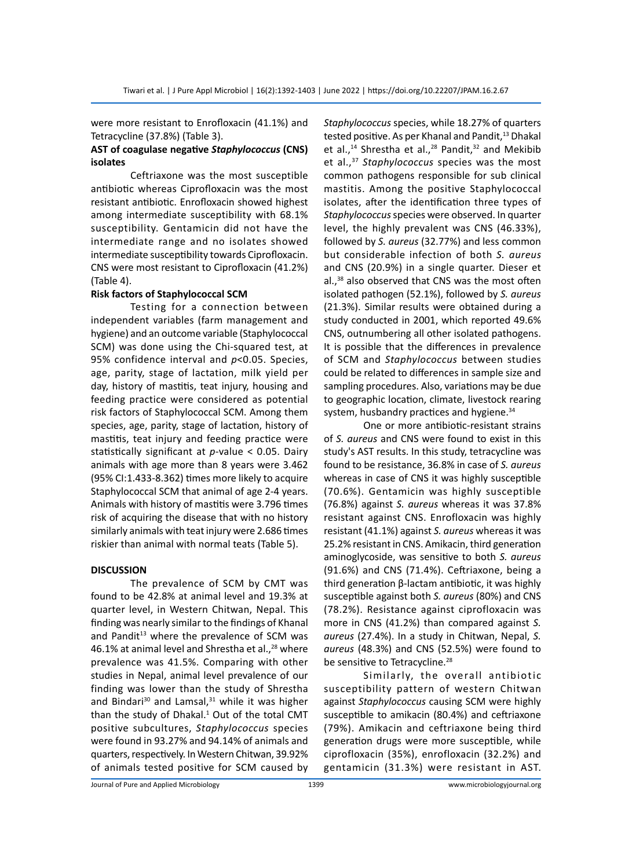were more resistant to Enrofloxacin (41.1%) and Tetracycline (37.8%) (Table 3).

## **AST of coagulase negative** *Staphylococcus* **(CNS) isolates**

Ceftriaxone was the most susceptible antibiotic whereas Ciprofloxacin was the most resistant antibiotic. Enrofloxacin showed highest among intermediate susceptibility with 68.1% susceptibility. Gentamicin did not have the intermediate range and no isolates showed intermediate susceptibility towards Ciprofloxacin. CNS were most resistant to Ciprofloxacin (41.2%) (Table 4).

## **Risk factors of Staphylococcal SCM**

Testing for a connection between independent variables (farm management and hygiene) and an outcome variable (Staphylococcal SCM) was done using the Chi-squared test, at 95% confidence interval and *p*<0.05. Species, age, parity, stage of lactation, milk yield per day, history of mastitis, teat injury, housing and feeding practice were considered as potential risk factors of Staphylococcal SCM. Among them species, age, parity, stage of lactation, history of mastitis, teat injury and feeding practice were statistically significant at *p*-value < 0.05. Dairy animals with age more than 8 years were 3.462 (95% CI:1.433-8.362) times more likely to acquire Staphylococcal SCM that animal of age 2-4 years. Animals with history of mastitis were 3.796 times risk of acquiring the disease that with no history similarly animals with teat injury were 2.686 times riskier than animal with normal teats (Table 5).

## **DISCUSSION**

The prevalence of SCM by CMT was found to be 42.8% at animal level and 19.3% at quarter level, in Western Chitwan, Nepal. This finding was nearly similar to the findings of Khanal and Pandit<sup>13</sup> where the prevalence of SCM was 46.1% at animal level and Shrestha et al., $^{28}$  where prevalence was 41.5%. Comparing with other studies in Nepal, animal level prevalence of our finding was lower than the study of Shrestha and Bindari<sup>30</sup> and Lamsal, $31$  while it was higher than the study of Dhakal. $1$  Out of the total CMT positive subcultures, *Staphylococcus* species were found in 93.27% and 94.14% of animals and quarters, respectively. In Western Chitwan, 39.92% of animals tested positive for SCM caused by

*Staphylococcus* species, while 18.27% of quarters tested positive. As per Khanal and Pandit,<sup>13</sup> Dhakal et al.,<sup>14</sup> Shrestha et al.,<sup>28</sup> Pandit,<sup>32</sup> and Mekibib et al.,37 *Staphylococcus* species was the most common pathogens responsible for sub clinical mastitis. Among the positive Staphylococcal isolates, after the identification three types of *Staphylococcus* species were observed. In quarter level, the highly prevalent was CNS (46.33%), followed by *S. aureus* (32.77%) and less common but considerable infection of both *S. aureus* and CNS (20.9%) in a single quarter. Dieser et al.,<sup>38</sup> also observed that CNS was the most often isolated pathogen (52.1%), followed by *S. aureus* (21.3%). Similar results were obtained during a study conducted in 2001, which reported 49.6% CNS, outnumbering all other isolated pathogens. It is possible that the differences in prevalence of SCM and *Staphylococcus* between studies could be related to differences in sample size and sampling procedures. Also, variations may be due to geographic location, climate, livestock rearing system, husbandry practices and hygiene.<sup>34</sup>

One or more antibiotic-resistant strains of *S. aureus* and CNS were found to exist in this study's AST results. In this study, tetracycline was found to be resistance, 36.8% in case of *S. aureus* whereas in case of CNS it was highly susceptible (70.6%). Gentamicin was highly susceptible (76.8%) against *S. aureus* whereas it was 37.8% resistant against CNS. Enrofloxacin was highly resistant (41.1%) against *S. aureus* whereas it was 25.2% resistant in CNS. Amikacin, third generation aminoglycoside, was sensitive to both *S. aureus* (91.6%) and CNS (71.4%). Ceftriaxone, being a third generation β-lactam antibiotic, it was highly susceptible against both *S. aureus* (80%) and CNS (78.2%). Resistance against ciprofloxacin was more in CNS (41.2%) than compared against *S. aureus* (27.4%). In a study in Chitwan, Nepal, *S. aureus* (48.3%) and CNS (52.5%) were found to be sensitive to Tetracycline.<sup>28</sup>

Similarly, the overall antibiotic susceptibility pattern of western Chitwan against *Staphylococcus* causing SCM were highly susceptible to amikacin (80.4%) and ceftriaxone (79%). Amikacin and ceftriaxone being third generation drugs were more susceptible, while ciprofloxacin (35%), enrofloxacin (32.2%) and gentamicin (31.3%) were resistant in AST.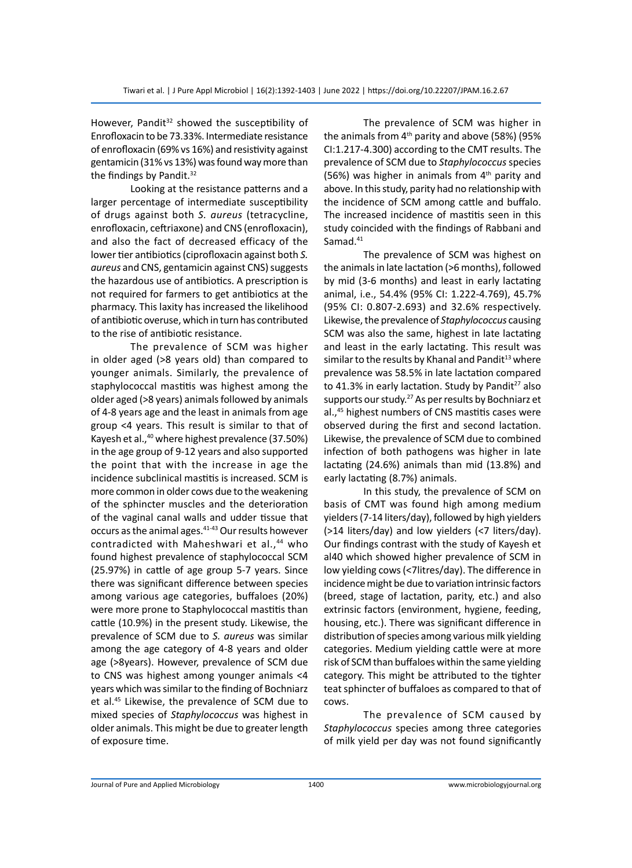However, Pandit<sup>32</sup> showed the susceptibility of Enrofloxacin to be 73.33%. Intermediate resistance of enrofloxacin (69% vs 16%) and resistivity against gentamicin (31% vs 13%) was found way more than the findings by Pandit.<sup>32</sup>

Looking at the resistance patterns and a larger percentage of intermediate susceptibility of drugs against both *S. aureus* (tetracycline, enrofloxacin, ceftriaxone) and CNS (enrofloxacin), and also the fact of decreased efficacy of the lower tier antibiotics (ciprofloxacin against both *S. aureus* and CNS, gentamicin against CNS) suggests the hazardous use of antibiotics. A prescription is not required for farmers to get antibiotics at the pharmacy. This laxity has increased the likelihood of antibiotic overuse, which in turn has contributed to the rise of antibiotic resistance.

The prevalence of SCM was higher in older aged (>8 years old) than compared to younger animals. Similarly, the prevalence of staphylococcal mastitis was highest among the older aged (>8 years) animals followed by animals of 4-8 years age and the least in animals from age group <4 years. This result is similar to that of Kayesh et al.,<sup>40</sup> where highest prevalence (37.50%) in the age group of 9-12 years and also supported the point that with the increase in age the incidence subclinical mastitis is increased. SCM is more common in older cows due to the weakening of the sphincter muscles and the deterioration of the vaginal canal walls and udder tissue that occurs as the animal ages.<sup>41-43</sup> Our results however contradicted with Maheshwari et al.,<sup>44</sup> who found highest prevalence of staphylococcal SCM (25.97%) in cattle of age group 5-7 years. Since there was significant difference between species among various age categories, buffaloes (20%) were more prone to Staphylococcal mastitis than cattle (10.9%) in the present study. Likewise, the prevalence of SCM due to *S. aureus* was similar among the age category of 4-8 years and older age (>8years). However, prevalence of SCM due to CNS was highest among younger animals <4 years which was similar to the finding of Bochniarz et al.45 Likewise, the prevalence of SCM due to mixed species of *Staphylococcus* was highest in older animals. This might be due to greater length of exposure time.

The prevalence of SCM was higher in the animals from  $4<sup>th</sup>$  parity and above (58%) (95% CI:1.217-4.300) according to the CMT results. The prevalence of SCM due to *Staphylococcus* species (56%) was higher in animals from  $4<sup>th</sup>$  parity and above. In this study, parity had no relationship with the incidence of SCM among cattle and buffalo. The increased incidence of mastitis seen in this study coincided with the findings of Rabbani and Samad.<sup>41</sup>

The prevalence of SCM was highest on the animals in late lactation (>6 months), followed by mid (3-6 months) and least in early lactating animal, i.e., 54.4% (95% CI: 1.222-4.769), 45.7% (95% CI: 0.807-2.693) and 32.6% respectively. Likewise, the prevalence of *Staphylococcus* causing SCM was also the same, highest in late lactating and least in the early lactating. This result was similar to the results by Khanal and Pandit $13$  where prevalence was 58.5% in late lactation compared to 41.3% in early lactation. Study by Pandit $27$  also supports our study.<sup>27</sup> As per results by Bochniarz et al.,45 highest numbers of CNS mastitis cases were observed during the first and second lactation. Likewise, the prevalence of SCM due to combined infection of both pathogens was higher in late lactating (24.6%) animals than mid (13.8%) and early lactating (8.7%) animals.

In this study, the prevalence of SCM on basis of CMT was found high among medium yielders (7-14 liters/day), followed by high yielders (>14 liters/day) and low yielders (<7 liters/day). Our findings contrast with the study of Kayesh et al40 which showed higher prevalence of SCM in low yielding cows (<7litres/day). The difference in incidence might be due to variation intrinsic factors (breed, stage of lactation, parity, etc.) and also extrinsic factors (environment, hygiene, feeding, housing, etc.). There was significant difference in distribution of species among various milk yielding categories. Medium yielding cattle were at more risk of SCM than buffaloes within the same yielding category. This might be attributed to the tighter teat sphincter of buffaloes as compared to that of cows.

The prevalence of SCM caused by *Staphylococcus* species among three categories of milk yield per day was not found significantly

Journal of Pure and Applied Microbiology 1400 www.microbiologyjournal.org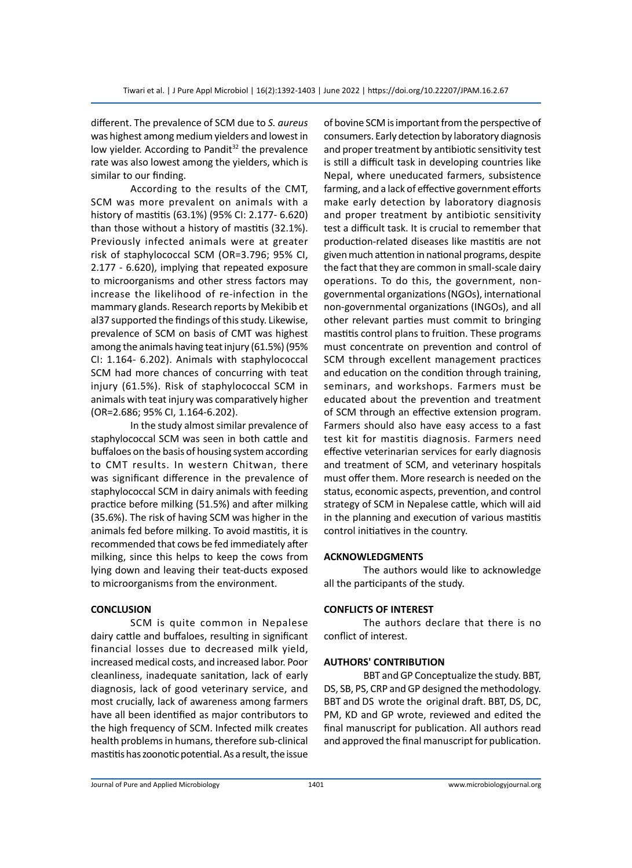different. The prevalence of SCM due to *S. aureus* was highest among medium yielders and lowest in low yielder. According to Pandit<sup>32</sup> the prevalence rate was also lowest among the yielders, which is similar to our finding.

According to the results of the CMT, SCM was more prevalent on animals with a history of mastitis (63.1%) (95% CI: 2.177- 6.620) than those without a history of mastitis (32.1%). Previously infected animals were at greater risk of staphylococcal SCM (OR=3.796; 95% CI, 2.177 - 6.620), implying that repeated exposure to microorganisms and other stress factors may increase the likelihood of re-infection in the mammary glands. Research reports by Mekibib et al37 supported the findings of this study. Likewise, prevalence of SCM on basis of CMT was highest among the animals having teat injury (61.5%) (95% CI: 1.164- 6.202). Animals with staphylococcal SCM had more chances of concurring with teat injury (61.5%). Risk of staphylococcal SCM in animals with teat injury was comparatively higher (OR=2.686; 95% CI, 1.164-6.202).

In the study almost similar prevalence of staphylococcal SCM was seen in both cattle and buffaloes on the basis of housing system according to CMT results. In western Chitwan, there was significant difference in the prevalence of staphylococcal SCM in dairy animals with feeding practice before milking (51.5%) and after milking (35.6%). The risk of having SCM was higher in the animals fed before milking. To avoid mastitis, it is recommended that cows be fed immediately after milking, since this helps to keep the cows from lying down and leaving their teat-ducts exposed to microorganisms from the environment.

#### **CONCLUSION**

SCM is quite common in Nepalese dairy cattle and buffaloes, resulting in significant financial losses due to decreased milk yield, increased medical costs, and increased labor. Poor cleanliness, inadequate sanitation, lack of early diagnosis, lack of good veterinary service, and most crucially, lack of awareness among farmers have all been identified as major contributors to the high frequency of SCM. Infected milk creates health problems in humans, therefore sub-clinical mastitis has zoonotic potential. As a result, the issue of bovine SCM is important from the perspective of consumers. Early detection by laboratory diagnosis and proper treatment by antibiotic sensitivity test is still a difficult task in developing countries like Nepal, where uneducated farmers, subsistence farming, and a lack of effective government efforts make early detection by laboratory diagnosis and proper treatment by antibiotic sensitivity test a difficult task. It is crucial to remember that production-related diseases like mastitis are not given much attention in national programs, despite the fact that they are common in small-scale dairy operations. To do this, the government, nongovernmental organizations (NGOs), international non-governmental organizations (INGOs), and all other relevant parties must commit to bringing mastitis control plans to fruition. These programs must concentrate on prevention and control of SCM through excellent management practices and education on the condition through training, seminars, and workshops. Farmers must be educated about the prevention and treatment of SCM through an effective extension program. Farmers should also have easy access to a fast test kit for mastitis diagnosis. Farmers need effective veterinarian services for early diagnosis and treatment of SCM, and veterinary hospitals must offer them. More research is needed on the status, economic aspects, prevention, and control strategy of SCM in Nepalese cattle, which will aid in the planning and execution of various mastitis control initiatives in the country.

#### **ACKNOWLEDGMENTS**

The authors would like to acknowledge all the participants of the study.

## **CONFLICTS OF INTEREST**

The authors declare that there is no conflict of interest.

#### **AUTHORS' CONTRIBUTION**

BBT and GP Conceptualize the study. BBT, DS, SB, PS, CRP and GP designed the methodology. BBT and DS wrote the original draft. BBT, DS, DC, PM, KD and GP wrote, reviewed and edited the final manuscript for publication. All authors read and approved the final manuscript for publication.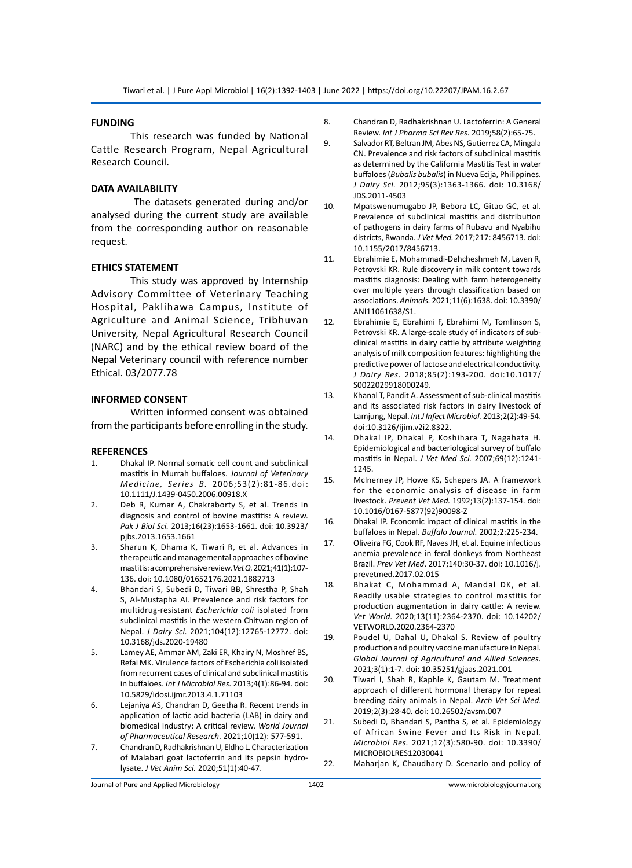#### **FUNDING**

This research was funded by National Cattle Research Program, Nepal Agricultural Research Council.

#### **DATA AVAILABILITY**

 The datasets generated during and/or analysed during the current study are available from the corresponding author on reasonable request.

#### **ETHICS STATEMENT**

This study was approved by Internship Advisory Committee of Veterinary Teaching Hospital, Paklihawa Campus, Institute of Agriculture and Animal Science, Tribhuvan University, Nepal Agricultural Research Council (NARC) and by the ethical review board of the Nepal Veterinary council with reference number Ethical. 03/2077.78

#### **INFORMED CONSENT**

Written informed consent was obtained from the participants before enrolling in the study.

# **REFERENCES**<br>1. Dhakal I

- 1. Dhakal IP. Normal somatic cell count and subclinical mastitis in Murrah buffaloes. *Journal of Veterinary Medicine, Series B.* 2006;53(2):81-86.doi: 10.1111/J.1439-0450.2006.00918.X
- 2. Deb R, Kumar A, Chakraborty S, et al. Trends in diagnosis and control of bovine mastitis: A review. *Pak J Biol Sci.* 2013;16(23):1653-1661. doi: 10.3923/ pjbs.2013.1653.1661
- 3. Sharun K, Dhama K, Tiwari R, et al. Advances in therapeutic and managemental approaches of bovine mastitis: a comprehensive review. *Vet Q.* 2021;41(1):107- 136. doi: 10.1080/01652176.2021.1882713
- 4. Bhandari S, Subedi D, Tiwari BB, Shrestha P, Shah S, Al-Mustapha AI. Prevalence and risk factors for multidrug-resistant *Escherichia coli* isolated from subclinical mastitis in the western Chitwan region of Nepal. *J Dairy Sci.* 2021;104(12):12765-12772. doi: 10.3168/jds.2020-19480
- 5. Lamey AE, Ammar AM, Zaki ER, Khairy N, Moshref BS, Refai MK. Virulence factors of Escherichia coli isolated from recurrent cases of clinical and subclinical mastitis in buffaloes. *Int J Microbiol Res.* 2013;4(1):86-94. doi: 10.5829/idosi.ijmr.2013.4.1.71103
- 6. Lejaniya AS, Chandran D, Geetha R. Recent trends in application of lactic acid bacteria (LAB) in dairy and biomedical industry: A critical review. *World Journal of Pharmaceutical Research*. 2021;10(12): 577-591.
- 7. Chandran D, Radhakrishnan U, Eldho L. Characterization of Malabari goat lactoferrin and its pepsin hydrolysate. *J Vet Anim Sci.* 2020;51(1):40-47.
- 8. Chandran D, Radhakrishnan U. Lactoferrin: A General Review. *Int J Pharma Sci Rev Res*. 2019;58(2):65-75.
- 9. Salvador RT, Beltran JM, Abes NS, Gutierrez CA, Mingala CN. Prevalence and risk factors of subclinical mastitis as determined by the California Mastitis Test in water buffaloes (*Bubalis bubalis*) in Nueva Ecija, Philippines. *J Dairy Sci.* 2012;95(3):1363-1366. doi: 10.3168/ JDS.2011-4503
- 10. Mpatswenumugabo JP, Bebora LC, Gitao GC, et al. Prevalence of subclinical mastitis and distribution of pathogens in dairy farms of Rubavu and Nyabihu districts, Rwanda. *J Vet Med.* 2017;217: 8456713. doi: 10.1155/2017/8456713.
- 11. Ebrahimie E, Mohammadi-Dehcheshmeh M, Laven R, Petrovski KR. Rule discovery in milk content towards mastitis diagnosis: Dealing with farm heterogeneity over multiple years through classification based on associations. *Animals.* 2021;11(6):1638. doi: 10.3390/ ANI11061638/S1.
- 12. Ebrahimie E, Ebrahimi F, Ebrahimi M, Tomlinson S, Petrovski KR. A large-scale study of indicators of subclinical mastitis in dairy cattle by attribute weighting analysis of milk composition features: highlighting the predictive power of lactose and electrical conductivity. *J Dairy Res.* 2018;85(2):193-200. doi:10.1017/ S0022029918000249.
- 13. Khanal T, Pandit A. Assessment of sub-clinical mastitis and its associated risk factors in dairy livestock of Lamjung, Nepal. *Int J Infect Microbiol.* 2013;2(2):49-54. doi:10.3126/ijim.v2i2.8322.
- 14. Dhakal IP, Dhakal P, Koshihara T, Nagahata H. Epidemiological and bacteriological survey of buffalo mastitis in Nepal. *J Vet Med Sci.* 2007;69(12):1241- 1245.
- 15. McInerney JP, Howe KS, Schepers JA. A framework for the economic analysis of disease in farm livestock. *Prevent Vet Med.* 1992;13(2):137-154. doi: 10.1016/0167-5877(92)90098-Z
- 16. Dhakal IP. Economic impact of clinical mastitis in the buffaloes in Nepal. *Buffalo Journal.* 2002;2:225-234.
- 17. Oliveira FG, Cook RF, Naves JH, et al. Equine infectious anemia prevalence in feral donkeys from Northeast Brazil. *Prev Vet Med*. 2017;140:30-37. doi: 10.1016/j. prevetmed.2017.02.015
- 18. Bhakat C, Mohammad A, Mandal DK, et al. Readily usable strategies to control mastitis for production augmentation in dairy cattle: A review. *Vet World.* 2020;13(11):2364-2370. doi: 10.14202/ VETWORLD.2020.2364-2370
- 19. Poudel U, Dahal U, Dhakal S. Review of poultry production and poultry vaccine manufacture in Nepal. *Global Journal of Agricultural and Allied Sciences.* 2021;3(1):1-7. doi: 10.35251/gjaas.2021.001
- 20. Tiwari I, Shah R, Kaphle K, Gautam M. Treatment approach of different hormonal therapy for repeat breeding dairy animals in Nepal. *Arch Vet Sci Med*. 2019;2(3):28-40. doi: 10.26502/avsm.007
- 21. Subedi D, Bhandari S, Pantha S, et al. Epidemiology of African Swine Fever and Its Risk in Nepal. *Microbiol Res.* 2021;12(3):580-90. doi: 10.3390/ MICROBIOLRES12030041
- 22. Maharjan K, Chaudhary D. Scenario and policy of